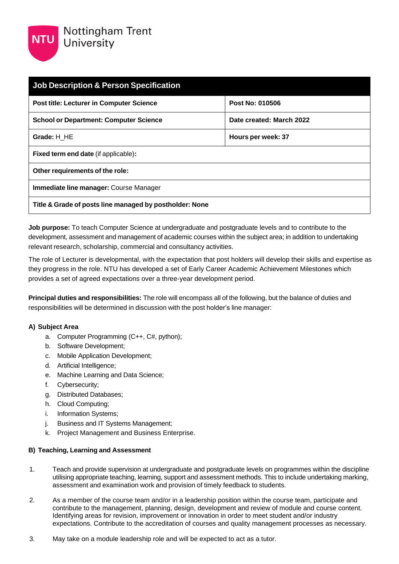

| <b>Job Description &amp; Person Specification</b>       |                          |  |
|---------------------------------------------------------|--------------------------|--|
| <b>Post title: Lecturer in Computer Science</b>         | Post No: 010506          |  |
| <b>School or Department: Computer Science</b>           | Date created: March 2022 |  |
| Grade: H HE                                             | Hours per week: 37       |  |
| <b>Fixed term end date (if applicable):</b>             |                          |  |
| Other requirements of the role:                         |                          |  |
| Immediate line manager: Course Manager                  |                          |  |
| Title & Grade of posts line managed by postholder: None |                          |  |

**Job purpose:** To teach Computer Science at undergraduate and postgraduate levels and to contribute to the development, assessment and management of academic courses within the subject area; in addition to undertaking relevant research, scholarship, commercial and consultancy activities.

The role of Lecturer is developmental, with the expectation that post holders will develop their skills and expertise as they progress in the role. NTU has developed a set of Early Career Academic Achievement Milestones which provides a set of agreed expectations over a three-year development period.

**Principal duties and responsibilities:** The role will encompass all of the following, but the balance of duties and responsibilities will be determined in discussion with the post holder's line manager:

## **A) Subject Area**

- a. Computer Programming (C++, C#, python);
- b. Software Development;
- c. Mobile Application Development;
- d. Artificial Intelligence;
- e. Machine Learning and Data Science;
- f. Cybersecurity;
- g. Distributed Databases;
- h. Cloud Computing;
- i. Information Systems;
- j. Business and IT Systems Management;
- k. Project Management and Business Enterprise.

## **B) Teaching, Learning and Assessment**

- 1. Teach and provide supervision at undergraduate and postgraduate levels on programmes within the discipline utilising appropriate teaching, learning, support and assessment methods. This to include undertaking marking, assessment and examination work and provision of timely feedback to students.
- 2. As a member of the course team and/or in a leadership position within the course team, participate and contribute to the management, planning, design, development and review of module and course content. Identifying areas for revision, improvement or innovation in order to meet student and/or industry expectations. Contribute to the accreditation of courses and quality management processes as necessary.
- 3. May take on a module leadership role and will be expected to act as a tutor.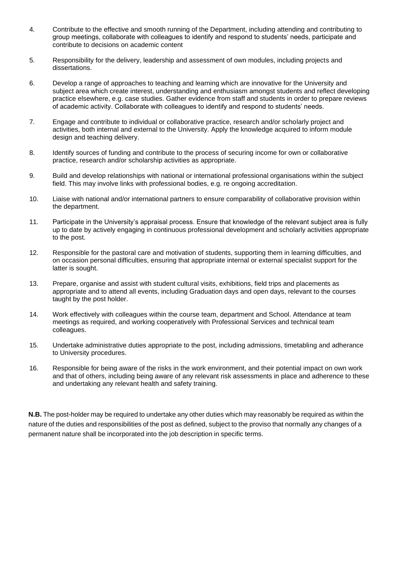- 4. Contribute to the effective and smooth running of the Department, including attending and contributing to group meetings, collaborate with colleagues to identify and respond to students' needs, participate and contribute to decisions on academic content
- 5. Responsibility for the delivery, leadership and assessment of own modules, including projects and dissertations.
- 6. Develop a range of approaches to teaching and learning which are innovative for the University and subject area which create interest, understanding and enthusiasm amongst students and reflect developing practice elsewhere, e.g. case studies. Gather evidence from staff and students in order to prepare reviews of academic activity. Collaborate with colleagues to identify and respond to students' needs.
- 7. Engage and contribute to individual or collaborative practice, research and/or scholarly project and activities, both internal and external to the University. Apply the knowledge acquired to inform module design and teaching delivery.
- 8. Identify sources of funding and contribute to the process of securing income for own or collaborative practice, research and/or scholarship activities as appropriate.
- 9. Build and develop relationships with national or international professional organisations within the subject field. This may involve links with professional bodies, e.g. re ongoing accreditation.
- 10. Liaise with national and/or international partners to ensure comparability of collaborative provision within the department.
- 11. Participate in the University's appraisal process. Ensure that knowledge of the relevant subject area is fully up to date by actively engaging in continuous professional development and scholarly activities appropriate to the post.
- 12. Responsible for the pastoral care and motivation of students, supporting them in learning difficulties, and on occasion personal difficulties, ensuring that appropriate internal or external specialist support for the latter is sought.
- 13. Prepare, organise and assist with student cultural visits, exhibitions, field trips and placements as appropriate and to attend all events, including Graduation days and open days, relevant to the courses taught by the post holder.
- 14. Work effectively with colleagues within the course team, department and School. Attendance at team meetings as required, and working cooperatively with Professional Services and technical team colleagues.
- 15. Undertake administrative duties appropriate to the post, including admissions, timetabling and adherance to University procedures.
- 16. Responsible for being aware of the risks in the work environment, and their potential impact on own work and that of others, including being aware of any relevant risk assessments in place and adherence to these and undertaking any relevant health and safety training.

**N.B.** The post-holder may be required to undertake any other duties which may reasonably be required as within the nature of the duties and responsibilities of the post as defined, subject to the proviso that normally any changes of a permanent nature shall be incorporated into the job description in specific terms.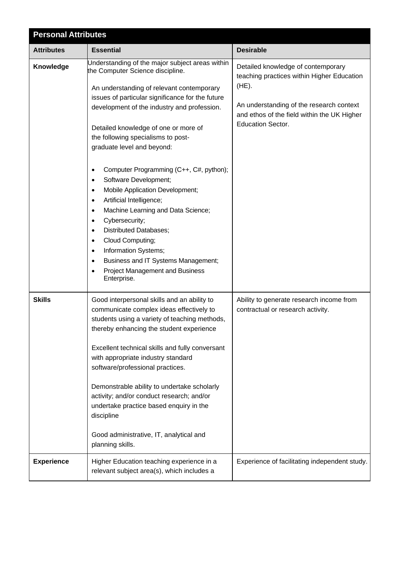| <b>Personal Attributes</b> |                                                                                                                                                                                                                                                                                                                                                                                                                                                                                                                                                                                                                                                                                                                                                                                                                                                                        |                                                                                                                                                                                                                     |  |
|----------------------------|------------------------------------------------------------------------------------------------------------------------------------------------------------------------------------------------------------------------------------------------------------------------------------------------------------------------------------------------------------------------------------------------------------------------------------------------------------------------------------------------------------------------------------------------------------------------------------------------------------------------------------------------------------------------------------------------------------------------------------------------------------------------------------------------------------------------------------------------------------------------|---------------------------------------------------------------------------------------------------------------------------------------------------------------------------------------------------------------------|--|
| <b>Attributes</b>          | <b>Essential</b>                                                                                                                                                                                                                                                                                                                                                                                                                                                                                                                                                                                                                                                                                                                                                                                                                                                       | <b>Desirable</b>                                                                                                                                                                                                    |  |
| Knowledge                  | Understanding of the major subject areas within<br>the Computer Science discipline.<br>An understanding of relevant contemporary<br>issues of particular significance for the future<br>development of the industry and profession.<br>Detailed knowledge of one or more of<br>the following specialisms to post-<br>graduate level and beyond:<br>Computer Programming (C++, C#, python);<br>$\bullet$<br>Software Development;<br>$\bullet$<br>Mobile Application Development;<br>$\bullet$<br>Artificial Intelligence;<br>$\bullet$<br>Machine Learning and Data Science;<br>$\bullet$<br>Cybersecurity;<br>$\bullet$<br><b>Distributed Databases;</b><br>$\bullet$<br>Cloud Computing;<br>$\bullet$<br>Information Systems;<br>$\bullet$<br>Business and IT Systems Management;<br>$\bullet$<br><b>Project Management and Business</b><br>$\bullet$<br>Enterprise. | Detailed knowledge of contemporary<br>teaching practices within Higher Education<br>$(HE)$ .<br>An understanding of the research context<br>and ethos of the field within the UK Higher<br><b>Education Sector.</b> |  |
| <b>Skills</b>              | Good interpersonal skills and an ability to<br>communicate complex ideas effectively to<br>students using a variety of teaching methods,<br>thereby enhancing the student experience<br>Excellent technical skills and fully conversant<br>with appropriate industry standard<br>software/professional practices.<br>Demonstrable ability to undertake scholarly<br>activity; and/or conduct research; and/or<br>undertake practice based enquiry in the<br>discipline<br>Good administrative, IT, analytical and<br>planning skills.                                                                                                                                                                                                                                                                                                                                  | Ability to generate research income from<br>contractual or research activity.                                                                                                                                       |  |
| <b>Experience</b>          | Higher Education teaching experience in a<br>relevant subject area(s), which includes a                                                                                                                                                                                                                                                                                                                                                                                                                                                                                                                                                                                                                                                                                                                                                                                | Experience of facilitating independent study.                                                                                                                                                                       |  |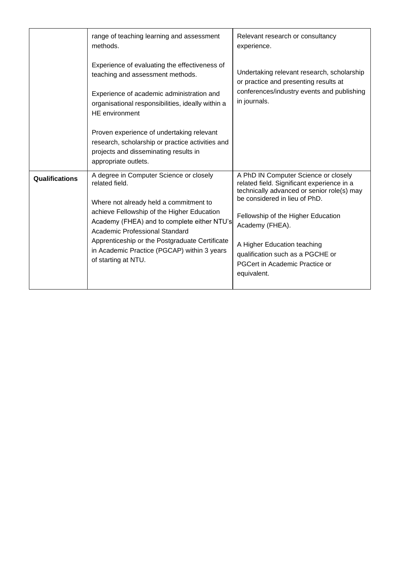|                       | range of teaching learning and assessment<br>methods.                                                                                                                                                                                                                                                                                                      | Relevant research or consultancy<br>experience.                                                                                                                                                                                                                                                                                                |
|-----------------------|------------------------------------------------------------------------------------------------------------------------------------------------------------------------------------------------------------------------------------------------------------------------------------------------------------------------------------------------------------|------------------------------------------------------------------------------------------------------------------------------------------------------------------------------------------------------------------------------------------------------------------------------------------------------------------------------------------------|
|                       | Experience of evaluating the effectiveness of<br>teaching and assessment methods.<br>Experience of academic administration and<br>organisational responsibilities, ideally within a<br><b>HE</b> environment                                                                                                                                               | Undertaking relevant research, scholarship<br>or practice and presenting results at<br>conferences/industry events and publishing<br>in journals.                                                                                                                                                                                              |
|                       | Proven experience of undertaking relevant<br>research, scholarship or practice activities and<br>projects and disseminating results in<br>appropriate outlets.                                                                                                                                                                                             |                                                                                                                                                                                                                                                                                                                                                |
| <b>Qualifications</b> | A degree in Computer Science or closely<br>related field.<br>Where not already held a commitment to<br>achieve Fellowship of the Higher Education<br>Academy (FHEA) and to complete either NTU's<br>Academic Professional Standard<br>Apprenticeship or the Postgraduate Certificate<br>in Academic Practice (PGCAP) within 3 years<br>of starting at NTU. | A PhD IN Computer Science or closely<br>related field. Significant experience in a<br>technically advanced or senior role(s) may<br>be considered in lieu of PhD.<br>Fellowship of the Higher Education<br>Academy (FHEA).<br>A Higher Education teaching<br>qualification such as a PGCHE or<br>PGCert in Academic Practice or<br>equivalent. |